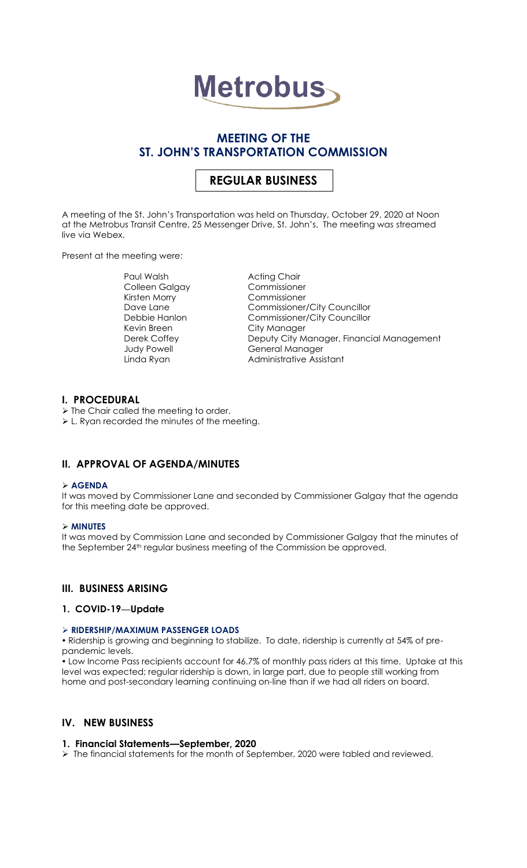

# **MEETING OF THE ST. JOHN'S TRANSPORTATION COMMISSION**

# **REGULAR BUSINESS**

A meeting of the St. John's Transportation was held on Thursday, October 29, 2020 at Noon at the Metrobus Transit Centre, 25 Messenger Drive, St. John's. The meeting was streamed live via Webex.

Present at the meeting were:

Paul Walsh **Acting Chair** Colleen Galgay Commissioner Kirsten Morry Commissioner Kevin Breen City Manager

Dave Lane Commissioner/City Councillor Debbie Hanlon Commissioner/City Councillor Derek Coffey **Deputy City Manager, Financial Management** Judy Powell **General Manager** Linda Ryan **Administrative Assistant** 

# **I. PROCEDURAL**

➢ The Chair called the meeting to order. ➢ L. Ryan recorded the minutes of the meeting.

# **II. APPROVAL OF AGENDA/MINUTES**

#### ➢ **AGENDA**

It was moved by Commissioner Lane and seconded by Commissioner Galgay that the agenda for this meeting date be approved.

# ➢ **MINUTES**

It was moved by Commission Lane and seconded by Commissioner Galgay that the minutes of the September 24<sup>th</sup> regular business meeting of the Commission be approved.

# **III. BUSINESS ARISING**

# **1. COVID-19—Update**

# ➢ **RIDERSHIP/MAXIMUM PASSENGER LOADS**

 Ridership is growing and beginning to stabilize. To date, ridership is currently at 54% of prepandemic levels.

 Low Income Pass recipients account for 46.7% of monthly pass riders at this time. Uptake at this level was expected; regular ridership is down, in large part, due to people still working from home and post-secondary learning continuing on-line than if we had all riders on board.

# **IV. NEW BUSINESS**

# **1. Financial Statements—September, 2020**

➢ The financial statements for the month of September, 2020 were tabled and reviewed.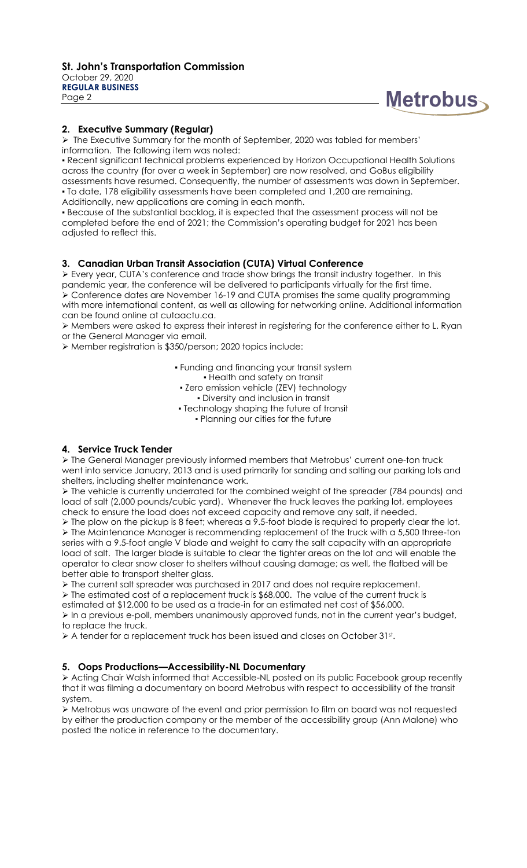

#### **2. Executive Summary (Regular)**

➢ The Executive Summary for the month of September, 2020 was tabled for members' information. The following item was noted:

• Recent significant technical problems experienced by Horizon Occupational Health Solutions across the country (for over a week in September) are now resolved, and GoBus eligibility assessments have resumed. Consequently, the number of assessments was down in September. ▪ To date, 178 eligibility assessments have been completed and 1,200 are remaining. Additionally, new applications are coming in each month.

▪ Because of the substantial backlog, it is expected that the assessment process will not be completed before the end of 2021; the Commission's operating budget for 2021 has been adjusted to reflect this.

# **3. Canadian Urban Transit Association (CUTA) Virtual Conference**

➢ Every year, CUTA's conference and trade show brings the transit industry together. In this pandemic year, the conference will be delivered to participants virtually for the first time. ➢ Conference dates are November 16-19 and CUTA promises the same quality programming with more international content, as well as allowing for networking online. Additional information can be found online at cutaactu.ca.

➢ Members were asked to express their interest in registering for the conference either to L. Ryan or the General Manager via email.

➢ Member registration is \$350/person; 2020 topics include:

- Funding and financing your transit system ▪ Health and safety on transit
- Zero emission vehicle (ZEV) technology
	- Diversity and inclusion in transit
- Technology shaping the future of transit ▪ Planning our cities for the future

# **4. Service Truck Tender**

➢ The General Manager previously informed members that Metrobus' current one-ton truck went into service January, 2013 and is used primarily for sanding and salting our parking lots and shelters, including shelter maintenance work.

➢ The vehicle is currently underrated for the combined weight of the spreader (784 pounds) and load of salt (2,000 pounds/cubic yard). Whenever the truck leaves the parking lot, employees check to ensure the load does not exceed capacity and remove any salt, if needed.

➢ The plow on the pickup is 8 feet; whereas a 9.5-foot blade is required to properly clear the lot. ➢ The Maintenance Manager is recommending replacement of the truck with a 5,500 three-ton series with a 9.5-foot angle V blade and weight to carry the salt capacity with an appropriate load of salt. The larger blade is suitable to clear the tighter areas on the lot and will enable the operator to clear snow closer to shelters without causing damage; as well, the flatbed will be better able to transport shelter glass.

➢ The current salt spreader was purchased in 2017 and does not require replacement. ➢ The estimated cost of a replacement truck is \$68,000. The value of the current truck is

estimated at \$12,000 to be used as a trade-in for an estimated net cost of \$56,000.

➢ In a previous e-poll, members unanimously approved funds, not in the current year's budget, to replace the truck.

 $\triangleright$  A tender for a replacement truck has been issued and closes on October 31st.

#### **5. Oops Productions—Accessibility-NL Documentary**

➢ Acting Chair Walsh informed that Accessible-NL posted on its public Facebook group recently that it was filming a documentary on board Metrobus with respect to accessibility of the transit system.

➢ Metrobus was unaware of the event and prior permission to film on board was not requested by either the production company or the member of the accessibility group (Ann Malone) who posted the notice in reference to the documentary.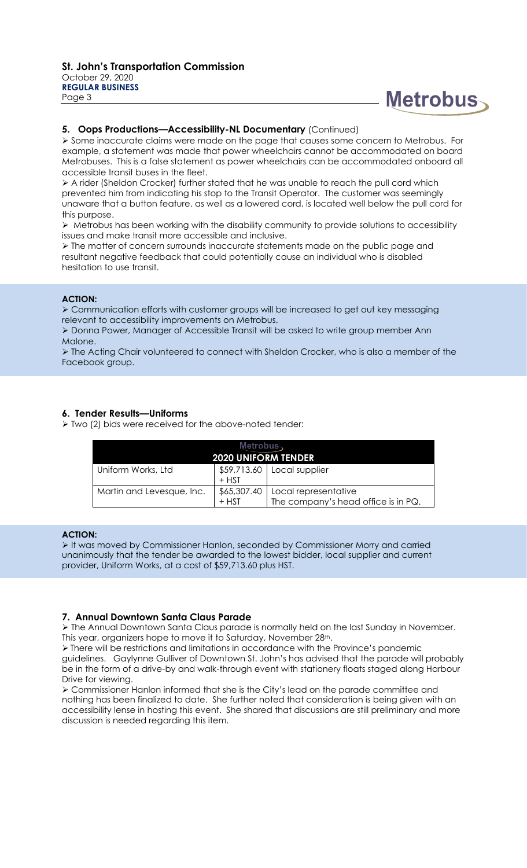# **Metrobus**

#### **5. Oops Productions—Accessibility-NL Documentary** (Continued)

➢ Some inaccurate claims were made on the page that causes some concern to Metrobus. For example, a statement was made that power wheelchairs cannot be accommodated on board Metrobuses. This is a false statement as power wheelchairs can be accommodated onboard all accessible transit buses in the fleet.

➢ A rider (Sheldon Crocker) further stated that he was unable to reach the pull cord which prevented him from indicating his stop to the Transit Operator. The customer was seemingly unaware that a button feature, as well as a lowered cord, is located well below the pull cord for this purpose.

➢ Metrobus has been working with the disability community to provide solutions to accessibility issues and make transit more accessible and inclusive.

➢ The matter of concern surrounds inaccurate statements made on the public page and resultant negative feedback that could potentially cause an individual who is disabled hesitation to use transit.

#### **ACTION:**

➢ Communication efforts with customer groups will be increased to get out key messaging relevant to accessibility improvements on Metrobus.

➢ Donna Power, Manager of Accessible Transit will be asked to write group member Ann Malone.

➢ The Acting Chair volunteered to connect with Sheldon Crocker, who is also a member of the Facebook group.

#### **6. Tender Results—Uniforms**

➢ Two (2) bids were received for the above-noted tender:

| Metrobus $\smallsetminus$<br><b>2020 UNIFORM TENDER</b> |                        |                                                             |
|---------------------------------------------------------|------------------------|-------------------------------------------------------------|
| Uniform Works, Ltd                                      | $+$ HST                | $$59,713.60$ Local supplier                                 |
| Martin and Levesque, Inc.                               | \$65,307.40<br>$+$ HST | Local representative<br>The company's head office is in PQ. |

#### **ACTION:**

➢ It was moved by Commissioner Hanlon, seconded by Commissioner Morry and carried unanimously that the tender be awarded to the lowest bidder, local supplier and current provider, Uniform Works, at a cost of \$59,713.60 plus HST.

#### **7. Annual Downtown Santa Claus Parade**

➢ The Annual Downtown Santa Claus parade is normally held on the last Sunday in November. This year, organizers hope to move it to Saturday, November 28th.

➢ There will be restrictions and limitations in accordance with the Province's pandemic guidelines. Gaylynne Gulliver of Downtown St. John's has advised that the parade will probably be in the form of a drive-by and walk-through event with stationery floats staged along Harbour Drive for viewing.

➢ Commissioner Hanlon informed that she is the City's lead on the parade committee and nothing has been finalized to date. She further noted that consideration is being given with an accessibility lense in hosting this event. She shared that discussions are still preliminary and more discussion is needed regarding this item.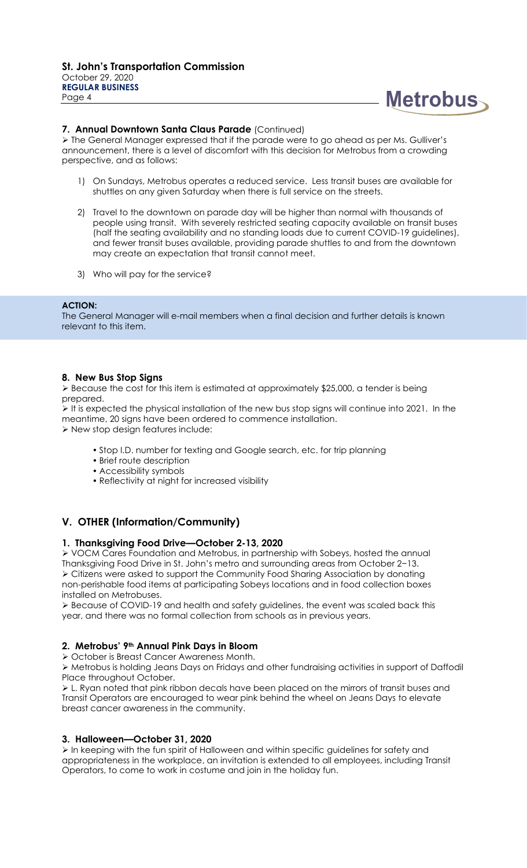

#### **7. Annual Downtown Santa Claus Parade** (Continued)

➢ The General Manager expressed that if the parade were to go ahead as per Ms. Gulliver's announcement, there is a level of discomfort with this decision for Metrobus from a crowding perspective, and as follows:

- 1) On Sundays, Metrobus operates a reduced service. Less transit buses are available for shuttles on any given Saturday when there is full service on the streets.
- 2) Travel to the downtown on parade day will be higher than normal with thousands of people using transit. With severely restricted seating capacity available on transit buses (half the seating availability and no standing loads due to current COVID-19 guidelines), and fewer transit buses available, providing parade shuttles to and from the downtown may create an expectation that transit cannot meet.
- 3) Who will pay for the service?

#### **ACTION:**

The General Manager will e-mail members when a final decision and further details is known relevant to this item.

#### **8. New Bus Stop Signs**

➢ Because the cost for this item is estimated at approximately \$25,000, a tender is being prepared.

➢ It is expected the physical installation of the new bus stop signs will continue into 2021. In the meantime, 20 signs have been ordered to commence installation. ➢ New stop design features include:

- Stop I.D. number for texting and Google search, etc. for trip planning
- Brief route description
- Accessibility symbols
- Reflectivity at night for increased visibility

# **V. OTHER (Information/Community)**

#### **1. Thanksgiving Food Drive—October 2-13, 2020**

➢ VOCM Cares Foundation and Metrobus, in partnership with Sobeys, hosted the annual Thanksgiving Food Drive in St. John's metro and surrounding areas from October 2−13. ➢ Citizens were asked to support the Community Food Sharing Association by donating non-perishable food items at participating Sobeys locations and in food collection boxes installed on Metrobuses.

➢ Because of COVID-19 and health and safety guidelines, the event was scaled back this year, and there was no formal collection from schools as in previous years.

# **2. Metrobus' 9th Annual Pink Days in Bloom**

➢ October is Breast Cancer Awareness Month.

➢ Metrobus is holding Jeans Days on Fridays and other fundraising activities in support of Daffodil Place throughout October.

➢ L. Ryan noted that pink ribbon decals have been placed on the mirrors of transit buses and Transit Operators are encouraged to wear pink behind the wheel on Jeans Days to elevate breast cancer awareness in the community.

#### **3. Halloween—October 31, 2020**

➢ In keeping with the fun spirit of Halloween and within specific guidelines for safety and appropriateness in the workplace, an invitation is extended to all employees, including Transit Operators, to come to work in costume and join in the holiday fun.